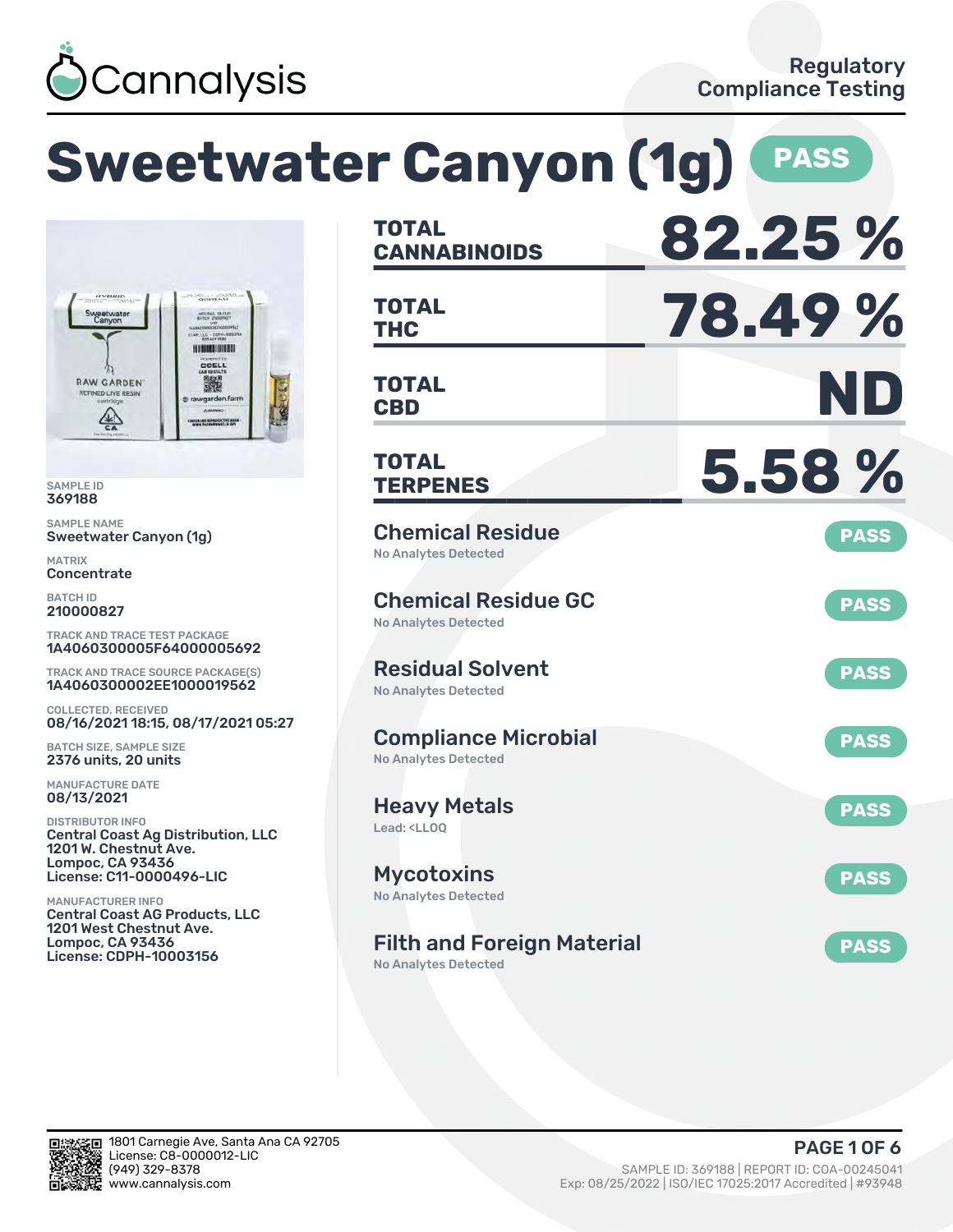

### **Sweetwater Canyon (1g) PASS CANNABINOIDS 82.25 % TOTAL THC 78.49 % TOTAL** LC - COPH-H *<u>ALCOHOL: HIGHER</u>* CCELL **CBD ND RAW GARDEN** 撇 **TOTAL** wgarden.fa LAND REPRODUCTIVE HAS **TERPENES 5.58 % TOTAL** Chemical Residue **PASS** Sweetwater Canyon (1g) No Analytes Detected **Concentrate** Chemical Residue GC **PASS** No Analytes Detected TRACK AND TRACE TEST PACKAGE 1A4060300005F64000005692 Residual Solvent TRACK AND TRACE SOURCE PACKAGE(S) **PASS** 1A4060300002EE1000019562 No Analytes Detected COLLECTED, RECEIVED 08/16/2021 18:15, 08/17/2021 05:27 Compliance Microbial **PASS** BATCH SIZE, SAMPLE SIZE 2376 units, 20 units No Analytes Detected MANUFACTURE DATE Heavy Metals **PASS** DISTRIBUTOR INFO Lead: <LLOQ Central Coast Ag Distribution, LLC 1201 W. Chestnut Ave. Lompoc, CA 93436 License: C11-0000496-LIC Mycotoxins **PASS** No Analytes Detected MANUFACTURER INFO Central Coast AG Products, LLC 1201 West Chestnut Ave. Lompoc, CA 93436 Filth and Foreign Material **PASS** License: CDPH-10003156

No Analytes Detected



SAMPLE ID 369188 SAMPLE NAME

**DLIVE!** 

 $\frac{1}{2}$ 

MATRIX

BATCH ID 210000827

08/13/2021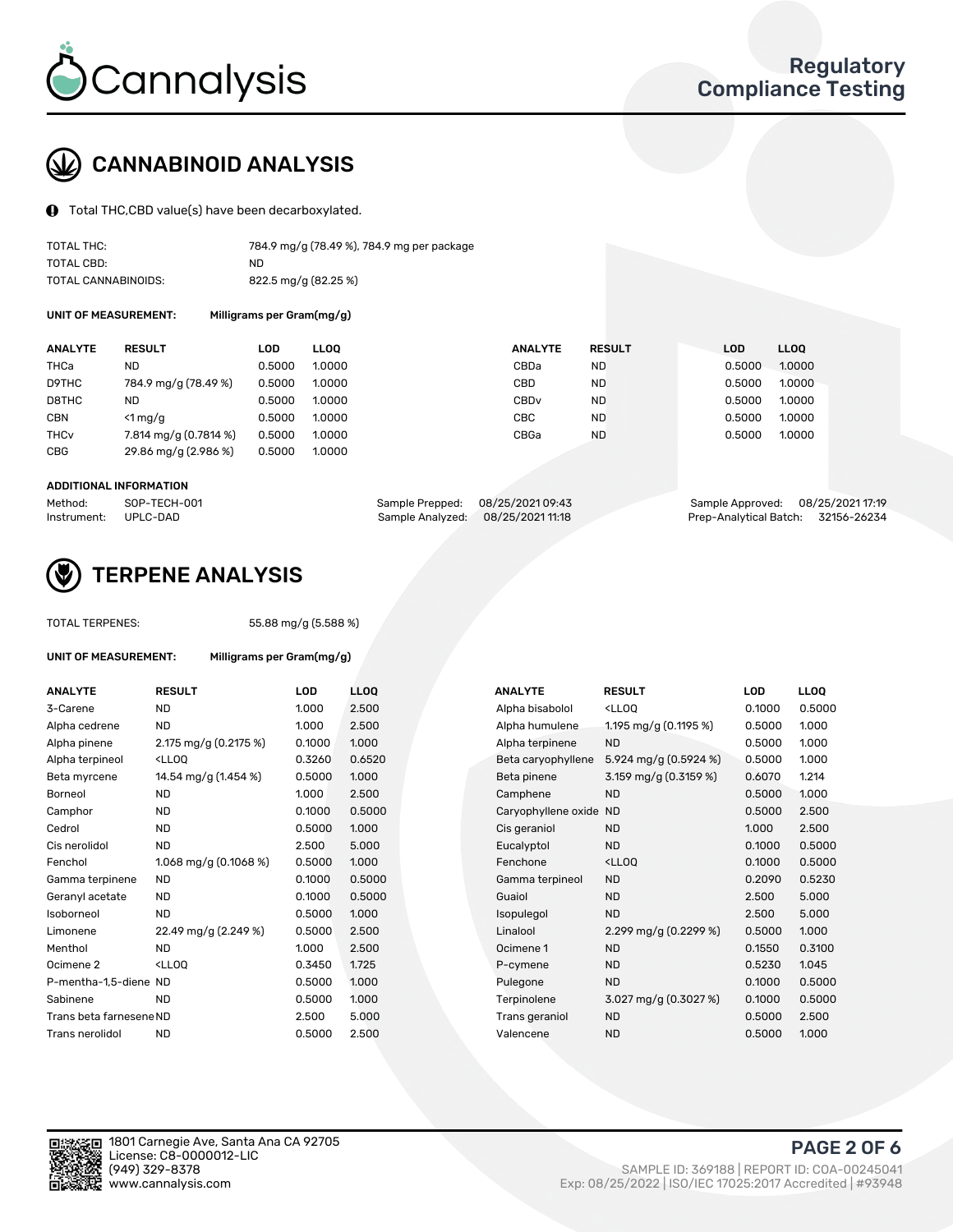

# CANNABINOID ANALYSIS

Total THC,CBD value(s) have been decarboxylated.

| TOTAL THC:          | 784.9 mg/g (78.49 %), 784.9 mg per package |
|---------------------|--------------------------------------------|
| TOTAL CBD:          | ND.                                        |
| TOTAL CANNABINOIDS: | 822.5 mg/g (82.25 %)                       |

UNIT OF MEASUREMENT: Milligrams per Gram(mg/g)

| <b>ANALYTE</b>         | <b>RESULT</b>         | LOD    | <b>LLOO</b> | <b>ANALYTE</b>   | <b>RESULT</b> | <b>LOD</b> | LL <sub>00</sub> |
|------------------------|-----------------------|--------|-------------|------------------|---------------|------------|------------------|
| THCa                   | ND                    | 0.5000 | 1.0000      | CBDa             | <b>ND</b>     | 0.5000     | 1.0000           |
| D9THC                  | 784.9 mg/g (78.49 %)  | 0.5000 | 1.0000      | CBD              | <b>ND</b>     | 0.5000     | 1.0000           |
| D8THC                  | ND                    | 0.5000 | 1.0000      | CBD <sub>v</sub> | <b>ND</b>     | 0.5000     | 1.0000           |
| <b>CBN</b>             | $<$ 1 mg/g            | 0.5000 | 1.0000      | CBC              | <b>ND</b>     | 0.5000     | 1.0000           |
| <b>THC<sub>v</sub></b> | 7.814 mg/g (0.7814 %) | 0.5000 | 1.0000      | CBGa             | <b>ND</b>     | 0.5000     | 1.0000           |
| <b>CBG</b>             | 29.86 mg/g (2.986 %)  | 0.5000 | 1.0000      |                  |               |            |                  |
|                        |                       |        |             |                  |               |            |                  |

### ADDITIONAL INFORMATION

| Method:              | SOP-TECH-001 | Sample Prepped: 08/25/2021 09:43  | Sample Approved: 08/25/2021 17:19  |  |
|----------------------|--------------|-----------------------------------|------------------------------------|--|
| Instrument: UPLC-DAD |              | Sample Analyzed: 08/25/2021 11:18 | Prep-Analytical Batch: 32156-26234 |  |



### TERPENE ANALYSIS

TOTAL TERPENES: 55.88 mg/g (5.588 %)

| UNIT OF MEASUREMENT:    | Milligrams per Gram(mg/g)                                                                                                   |            |                  |  |                     |                                                   |            |       |
|-------------------------|-----------------------------------------------------------------------------------------------------------------------------|------------|------------------|--|---------------------|---------------------------------------------------|------------|-------|
| <b>ANALYTE</b>          | <b>RESULT</b>                                                                                                               | <b>LOD</b> | LL <sub>OO</sub> |  | <b>ANALYTE</b>      | <b>RESULT</b>                                     | <b>LOD</b> | LLOQ  |
| 3-Carene                | <b>ND</b>                                                                                                                   | 1.000      | 2.500            |  | Alpha bisabolol     | <ll0q< td=""><td>0.1000</td><td>0.50</td></ll0q<> | 0.1000     | 0.50  |
| Alpha cedrene           | <b>ND</b>                                                                                                                   | 1.000      | 2.500            |  | Alpha humulene      | 1.195 mg/g (0.1195 %)                             | 0.5000     | 1.00C |
| Alpha pinene            | 2.175 mg/g (0.2175 %)                                                                                                       | 0.1000     | 1.000            |  | Alpha terpinene     | <b>ND</b>                                         | 0.5000     | 1.00C |
| Alpha terpineol         | $<$ LLOO                                                                                                                    | 0.3260     | 0.6520           |  | Beta caryophyllene  | 5.924 mg/g (0.5924 %)                             | 0.5000     | 1.000 |
| Beta myrcene            | 14.54 mg/g (1.454 %)                                                                                                        | 0.5000     | 1.000            |  | Beta pinene         | 3.159 mg/g (0.3159 %)                             | 0.6070     | 1.214 |
| Borneol                 | <b>ND</b>                                                                                                                   | 1.000      | 2.500            |  | Camphene            | <b>ND</b>                                         | 0.5000     | 1.000 |
| Camphor                 | ND.                                                                                                                         | 0.1000     | 0.5000           |  | Caryophyllene oxide | <b>ND</b>                                         | 0.5000     | 2.500 |
| Cedrol                  | <b>ND</b>                                                                                                                   | 0.5000     | 1.000            |  | Cis geraniol        | <b>ND</b>                                         | 1.000      | 2.500 |
| Cis nerolidol           | <b>ND</b>                                                                                                                   | 2.500      | 5.000            |  | Eucalyptol          | <b>ND</b>                                         | 0.1000     | 0.50  |
| Fenchol                 | 1.068 mg/g $(0.1068\%)$                                                                                                     | 0.5000     | 1.000            |  | Fenchone            | $<$ LLOO                                          | 0.1000     | 0.50  |
| Gamma terpinene         | <b>ND</b>                                                                                                                   | 0.1000     | 0.5000           |  | Gamma terpineol     | <b>ND</b>                                         | 0.2090     | 0.523 |
| Geranyl acetate         | <b>ND</b>                                                                                                                   | 0.1000     | 0.5000           |  | Guaiol              | <b>ND</b>                                         | 2.500      | 5.00  |
| Isoborneol              | <b>ND</b>                                                                                                                   | 0.5000     | 1.000            |  | Isopulegol          | <b>ND</b>                                         | 2.500      | 5.000 |
| Limonene                | 22.49 mg/g (2.249 %)                                                                                                        | 0.5000     | 2.500            |  | Linalool            | 2.299 mg/g $(0.2299\%)$                           | 0.5000     | 1.000 |
| Menthol                 | <b>ND</b>                                                                                                                   | 1.000      | 2.500            |  | Ocimene 1           | <b>ND</b>                                         | 0.1550     | 0.310 |
| Ocimene 2               | <ll0q< td=""><td>0.3450</td><td>1.725</td><td></td><td>P-cymene</td><td><b>ND</b></td><td>0.5230</td><td>1.045</td></ll0q<> | 0.3450     | 1.725            |  | P-cymene            | <b>ND</b>                                         | 0.5230     | 1.045 |
| P-mentha-1,5-diene ND   |                                                                                                                             | 0.5000     | 1.000            |  | Pulegone            | <b>ND</b>                                         | 0.1000     | 0.50  |
| Sabinene                | <b>ND</b>                                                                                                                   | 0.5000     | 1.000            |  | Terpinolene         | $3.027 \,\mathrm{mg/g}$ (0.3027 %)                | 0.1000     | 0.50( |
| Trans beta farnesene ND |                                                                                                                             | 2.500      | 5.000            |  | Trans geraniol      | <b>ND</b>                                         | 0.5000     | 2.500 |
| Trans nerolidol         | <b>ND</b>                                                                                                                   | 0.5000     | 2.500            |  | Valencene           | <b>ND</b>                                         | 0.5000     | 1.00C |

| <b>RESULT</b>                                                                                                                                          | <b>LOD</b> | <b>LLOQ</b> | <b>ANALYTE</b>     | <b>RESULT</b>                                       | LOD                    | <b>LLOQ</b> |
|--------------------------------------------------------------------------------------------------------------------------------------------------------|------------|-------------|--------------------|-----------------------------------------------------|------------------------|-------------|
| <b>ND</b>                                                                                                                                              | 1.000      | 2.500       | Alpha bisabolol    | <lloq< td=""><td>0.1000</td><td>0.5000</td></lloq<> | 0.1000                 | 0.5000      |
| <b>ND</b>                                                                                                                                              | 1.000      | 2.500       | Alpha humulene     | 1.195 mg/g (0.1195 %)                               | 0.5000                 | 1.000       |
| 2.175 mg/g $(0.2175%)$                                                                                                                                 | 0.1000     | 1.000       | Alpha terpinene    | <b>ND</b>                                           | 0.5000                 | 1.000       |
| <lloq< td=""><td>0.3260</td><td>0.6520</td><td>Beta caryophyllene</td><td>5.924 mg/g <math>(0.5924\%)</math></td><td>0.5000</td><td>1.000</td></lloq<> | 0.3260     | 0.6520      | Beta caryophyllene | 5.924 mg/g $(0.5924\%)$                             | 0.5000                 | 1.000       |
| 14.54 mg/g (1.454 %)                                                                                                                                   | 0.5000     | 1.000       | Beta pinene        | 3.159 mg/g (0.3159 %)                               | 0.6070                 | 1.214       |
| <b>ND</b>                                                                                                                                              | 1.000      | 2.500       | Camphene           | ND.                                                 | 0.5000                 | 1.000       |
| <b>ND</b>                                                                                                                                              | 0.1000     | 0.5000      |                    |                                                     | 0.5000                 | 2.500       |
| <b>ND</b>                                                                                                                                              | 0.5000     | 1.000       | Cis geraniol       | <b>ND</b>                                           | 1.000                  | 2.500       |
| <b>ND</b>                                                                                                                                              | 2.500      | 5.000       | Eucalyptol         | ND.                                                 | 0.1000                 | 0.5000      |
| 1.068 mg/g $(0.1068\%)$                                                                                                                                | 0.5000     | 1.000       | Fenchone           | <lloq< td=""><td>0.1000</td><td>0.5000</td></lloq<> | 0.1000                 | 0.5000      |
| <b>ND</b>                                                                                                                                              | 0.1000     | 0.5000      | Gamma terpineol    | <b>ND</b>                                           | 0.2090                 | 0.5230      |
| ND.                                                                                                                                                    | 0.1000     | 0.5000      | Guaiol             | <b>ND</b>                                           | 2.500                  | 5.000       |
| <b>ND</b>                                                                                                                                              | 0.5000     | 1.000       | Isopulegol         | <b>ND</b>                                           | 2.500                  | 5.000       |
| 22.49 mg/g (2.249 %)                                                                                                                                   | 0.5000     | 2.500       | Linalool           | 2.299 mg/g (0.2299 %)                               | 0.5000                 | 1.000       |
| <b>ND</b>                                                                                                                                              | 1.000      | 2.500       | Ocimene 1          | <b>ND</b>                                           | 0.1550                 | 0.3100      |
| <lloq< td=""><td>0.3450</td><td>1.725</td><td>P-cymene</td><td><b>ND</b></td><td>0.5230</td><td>1.045</td></lloq<>                                     | 0.3450     | 1.725       | P-cymene           | <b>ND</b>                                           | 0.5230                 | 1.045       |
| P-mentha-1,5-diene ND                                                                                                                                  | 0.5000     | 1.000       | Pulegone           | <b>ND</b>                                           | 0.1000                 | 0.5000      |
| <b>ND</b>                                                                                                                                              | 0.5000     | 1.000       | Terpinolene        | 3.027 mg/g (0.3027 %)                               | 0.1000                 | 0.5000      |
| Trans beta farnesene ND                                                                                                                                | 2.500      | 5.000       | Trans geraniol     | <b>ND</b>                                           | 0.5000                 | 2.500       |
| <b>ND</b>                                                                                                                                              | 0.5000     | 2.500       | Valencene          | <b>ND</b>                                           | 0.5000                 | 1.000       |
|                                                                                                                                                        |            |             |                    |                                                     | Caryophyllene oxide ND |             |



PAGE 2 OF 6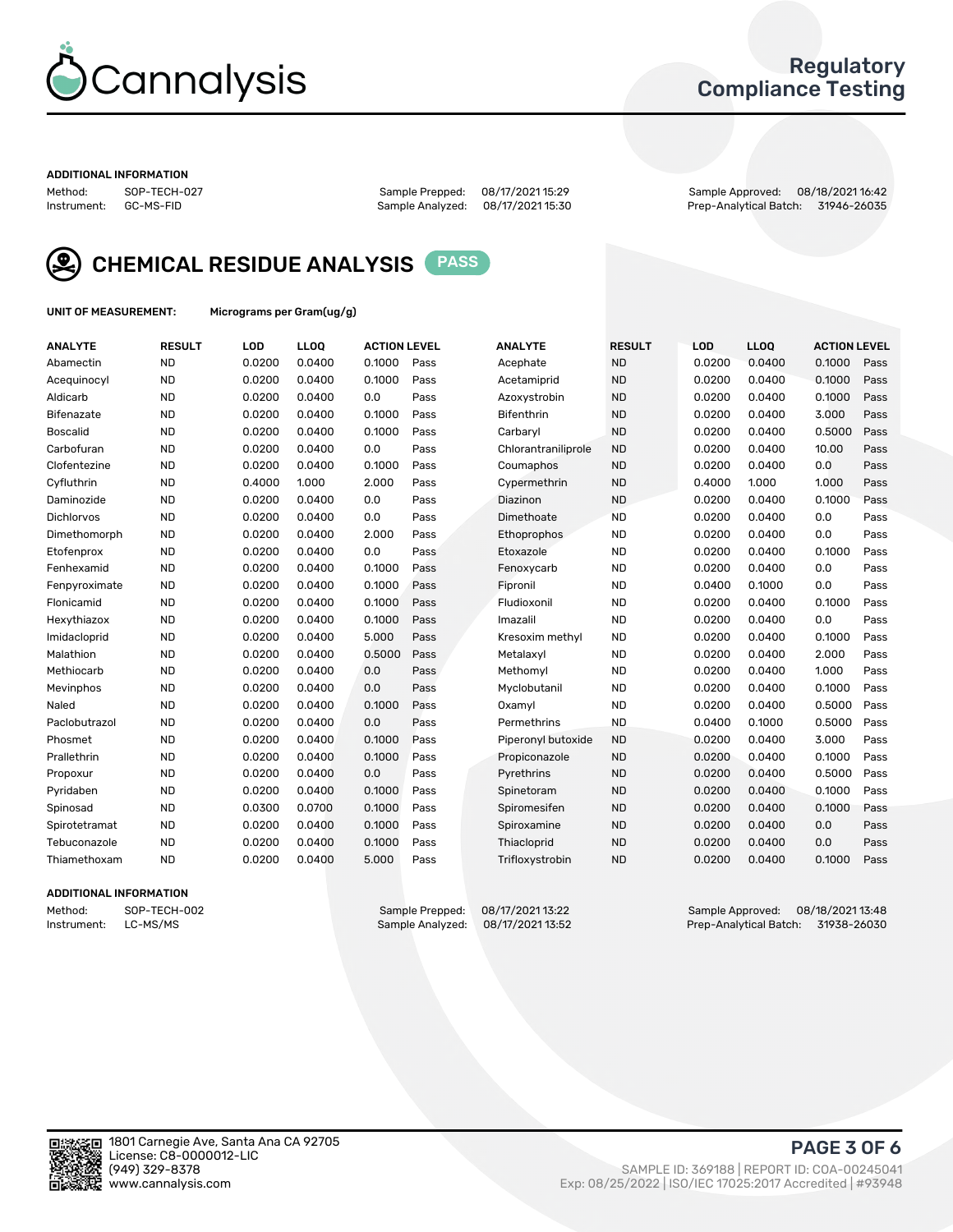

### Regulatory Compliance Testing

#### ADDITIONAL INFORMATION

Method: SOP-TECH-027 Sample Prepped: 08/17/2021 15:29 Sample Approved: 08/18/2021 16:42 Prep-Analytical Batch: 31946-26035



CHEMICAL RESIDUE ANALYSIS PASS

UNIT OF MEASUREMENT: Micrograms per Gram(ug/g)

| <b>ANALYTE</b>    | <b>RESULT</b> | LOD    | LL <sub>OO</sub> | <b>ACTION LEVEL</b> |      | <b>ANALYTE</b>      | <b>RESULT</b> | LOD    | <b>LLOQ</b> | <b>ACTION LEVEL</b> |      |
|-------------------|---------------|--------|------------------|---------------------|------|---------------------|---------------|--------|-------------|---------------------|------|
| Abamectin         | <b>ND</b>     | 0.0200 | 0.0400           | 0.1000              | Pass | Acephate            | <b>ND</b>     | 0.0200 | 0.0400      | 0.1000              | Pass |
| Acequinocyl       | <b>ND</b>     | 0.0200 | 0.0400           | 0.1000              | Pass | Acetamiprid         | <b>ND</b>     | 0.0200 | 0.0400      | 0.1000              | Pass |
| Aldicarb          | <b>ND</b>     | 0.0200 | 0.0400           | 0.0                 | Pass | Azoxystrobin        | <b>ND</b>     | 0.0200 | 0.0400      | 0.1000              | Pass |
| Bifenazate        | <b>ND</b>     | 0.0200 | 0.0400           | 0.1000              | Pass | <b>Bifenthrin</b>   | <b>ND</b>     | 0.0200 | 0.0400      | 3.000               | Pass |
| <b>Boscalid</b>   | <b>ND</b>     | 0.0200 | 0.0400           | 0.1000              | Pass | Carbaryl            | <b>ND</b>     | 0.0200 | 0.0400      | 0.5000              | Pass |
| Carbofuran        | <b>ND</b>     | 0.0200 | 0.0400           | 0.0                 | Pass | Chlorantraniliprole | <b>ND</b>     | 0.0200 | 0.0400      | 10.00               | Pass |
| Clofentezine      | <b>ND</b>     | 0.0200 | 0.0400           | 0.1000              | Pass | Coumaphos           | <b>ND</b>     | 0.0200 | 0.0400      | 0.0                 | Pass |
| Cyfluthrin        | <b>ND</b>     | 0.4000 | 1.000            | 2.000               | Pass | Cypermethrin        | <b>ND</b>     | 0.4000 | 1.000       | 1.000               | Pass |
| Daminozide        | <b>ND</b>     | 0.0200 | 0.0400           | 0.0                 | Pass | Diazinon            | <b>ND</b>     | 0.0200 | 0.0400      | 0.1000              | Pass |
| <b>Dichlorvos</b> | <b>ND</b>     | 0.0200 | 0.0400           | 0.0                 | Pass | Dimethoate          | <b>ND</b>     | 0.0200 | 0.0400      | 0.0                 | Pass |
| Dimethomorph      | <b>ND</b>     | 0.0200 | 0.0400           | 2.000               | Pass | <b>Ethoprophos</b>  | <b>ND</b>     | 0.0200 | 0.0400      | 0.0                 | Pass |
| Etofenprox        | <b>ND</b>     | 0.0200 | 0.0400           | 0.0                 | Pass | Etoxazole           | <b>ND</b>     | 0.0200 | 0.0400      | 0.1000              | Pass |
| Fenhexamid        | <b>ND</b>     | 0.0200 | 0.0400           | 0.1000              | Pass | Fenoxycarb          | <b>ND</b>     | 0.0200 | 0.0400      | 0.0                 | Pass |
| Fenpyroximate     | <b>ND</b>     | 0.0200 | 0.0400           | 0.1000              | Pass | Fipronil            | <b>ND</b>     | 0.0400 | 0.1000      | 0.0                 | Pass |
| Flonicamid        | <b>ND</b>     | 0.0200 | 0.0400           | 0.1000              | Pass | Fludioxonil         | <b>ND</b>     | 0.0200 | 0.0400      | 0.1000              | Pass |
| Hexythiazox       | <b>ND</b>     | 0.0200 | 0.0400           | 0.1000              | Pass | Imazalil            | <b>ND</b>     | 0.0200 | 0.0400      | 0.0                 | Pass |
| Imidacloprid      | <b>ND</b>     | 0.0200 | 0.0400           | 5.000               | Pass | Kresoxim methyl     | <b>ND</b>     | 0.0200 | 0.0400      | 0.1000              | Pass |
| Malathion         | <b>ND</b>     | 0.0200 | 0.0400           | 0.5000              | Pass | Metalaxyl           | <b>ND</b>     | 0.0200 | 0.0400      | 2.000               | Pass |
| Methiocarb        | <b>ND</b>     | 0.0200 | 0.0400           | 0.0                 | Pass | Methomyl            | <b>ND</b>     | 0.0200 | 0.0400      | 1.000               | Pass |
| Mevinphos         | <b>ND</b>     | 0.0200 | 0.0400           | 0.0                 | Pass | Myclobutanil        | <b>ND</b>     | 0.0200 | 0.0400      | 0.1000              | Pass |
| Naled             | <b>ND</b>     | 0.0200 | 0.0400           | 0.1000              | Pass | Oxamyl              | <b>ND</b>     | 0.0200 | 0.0400      | 0.5000              | Pass |
| Paclobutrazol     | <b>ND</b>     | 0.0200 | 0.0400           | 0.0                 | Pass | Permethrins         | <b>ND</b>     | 0.0400 | 0.1000      | 0.5000              | Pass |
| Phosmet           | <b>ND</b>     | 0.0200 | 0.0400           | 0.1000              | Pass | Piperonyl butoxide  | <b>ND</b>     | 0.0200 | 0.0400      | 3.000               | Pass |
| Prallethrin       | <b>ND</b>     | 0.0200 | 0.0400           | 0.1000              | Pass | Propiconazole       | <b>ND</b>     | 0.0200 | 0.0400      | 0.1000              | Pass |
| Propoxur          | <b>ND</b>     | 0.0200 | 0.0400           | 0.0                 | Pass | Pyrethrins          | <b>ND</b>     | 0.0200 | 0.0400      | 0.5000              | Pass |
| Pyridaben         | <b>ND</b>     | 0.0200 | 0.0400           | 0.1000              | Pass | Spinetoram          | <b>ND</b>     | 0.0200 | 0.0400      | 0.1000              | Pass |
| Spinosad          | <b>ND</b>     | 0.0300 | 0.0700           | 0.1000              | Pass | Spiromesifen        | <b>ND</b>     | 0.0200 | 0.0400      | 0.1000              | Pass |
| Spirotetramat     | <b>ND</b>     | 0.0200 | 0.0400           | 0.1000              | Pass | Spiroxamine         | <b>ND</b>     | 0.0200 | 0.0400      | 0.0                 | Pass |
| Tebuconazole      | <b>ND</b>     | 0.0200 | 0.0400           | 0.1000              | Pass | Thiacloprid         | <b>ND</b>     | 0.0200 | 0.0400      | 0.0                 | Pass |
| Thiamethoxam      | <b>ND</b>     | 0.0200 | 0.0400           | 5.000               | Pass | Trifloxystrobin     | <b>ND</b>     | 0.0200 | 0.0400      | 0.1000              | Pass |

### ADDITIONAL INFORMATION

Method: SOP-TECH-002 Sample Prepped: 08/17/2021 13:22 Sample Approved: 08/18/2021 13:48<br>Instrument: LC-MS/MS Sample Analyzed: 08/17/2021 13:52 Prep-Analytical Batch: 31938-26030 Prep-Analytical Batch: 31938-26030

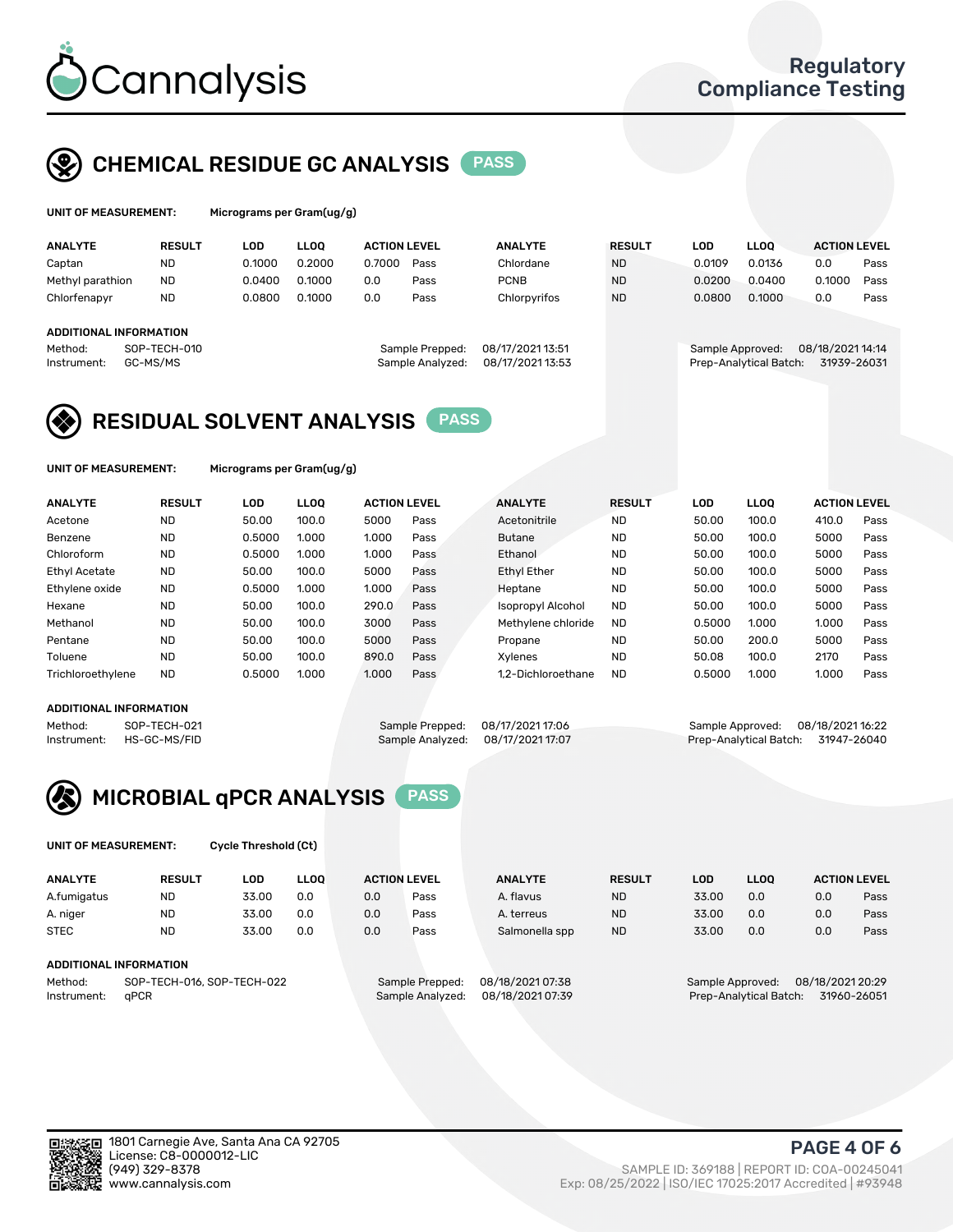

## CHEMICAL RESIDUE GC ANALYSIS PASS

| UNIT OF MEASUREMENT: |               | Micrograms per Gram $(uq/q)$ |             |                     |      |                |               |        |             |                     |      |
|----------------------|---------------|------------------------------|-------------|---------------------|------|----------------|---------------|--------|-------------|---------------------|------|
| <b>ANALYTE</b>       | <b>RESULT</b> | LOD                          | <b>LLOO</b> | <b>ACTION LEVEL</b> |      | <b>ANALYTE</b> | <b>RESULT</b> | LOD    | <b>LLOO</b> | <b>ACTION LEVEL</b> |      |
| Captan               | <b>ND</b>     | 0.1000                       | 0.2000      | 0.7000              | Pass | Chlordane      | <b>ND</b>     | 0.0109 | 0.0136      | 0.0                 | Pass |
| Methyl parathion     | <b>ND</b>     | 0.0400                       | 0.1000      | 0.0                 | Pass | <b>PCNB</b>    | <b>ND</b>     | 0.0200 | 0.0400      | 0.1000              | Pass |
| Chlorfenapyr         | <b>ND</b>     | 0.0800                       | 0.1000      | 0.0                 | Pass | Chlorpyrifos   | <b>ND</b>     | 0.0800 | 0.1000      | 0.0                 | Pass |

### ADDITIONAL INFORMATION

Method: SOP-TECH-010 Sample Prepped: 08/17/2021 13:51 Sample Approved: 08/18/2021 14:14 Instrument: GC-MS/MS Sample Analyzed: 08/17/2021 13:53 Prep-Analytical Batch: 31939-26031

## RESIDUAL SOLVENT ANALYSIS **PASS**

UNIT OF MEASUREMENT: Micrograms per Gram(ug/g)

| <b>ANALYTE</b>       | <b>RESULT</b> | LOD    | <b>LLOO</b> | <b>ACTION LEVEL</b> |      | <b>ANALYTE</b>           | <b>RESULT</b> | LOD    | LLOO  | <b>ACTION LEVEL</b> |      |
|----------------------|---------------|--------|-------------|---------------------|------|--------------------------|---------------|--------|-------|---------------------|------|
| Acetone              | <b>ND</b>     | 50.00  | 100.0       | 5000                | Pass | Acetonitrile             | <b>ND</b>     | 50.00  | 100.0 | 410.0               | Pass |
| Benzene              | <b>ND</b>     | 0.5000 | 1.000       | 1.000               | Pass | <b>Butane</b>            | <b>ND</b>     | 50.00  | 100.0 | 5000                | Pass |
| Chloroform           | <b>ND</b>     | 0.5000 | 1.000       | 1.000               | Pass | Ethanol                  | <b>ND</b>     | 50.00  | 100.0 | 5000                | Pass |
| <b>Ethyl Acetate</b> | <b>ND</b>     | 50.00  | 100.0       | 5000                | Pass | <b>Ethyl Ether</b>       | <b>ND</b>     | 50.00  | 100.0 | 5000                | Pass |
| Ethylene oxide       | <b>ND</b>     | 0.5000 | 1.000       | 1.000               | Pass | Heptane                  | <b>ND</b>     | 50.00  | 100.0 | 5000                | Pass |
| Hexane               | <b>ND</b>     | 50.00  | 100.0       | 290.0               | Pass | <b>Isopropyl Alcohol</b> | <b>ND</b>     | 50.00  | 100.0 | 5000                | Pass |
| Methanol             | <b>ND</b>     | 50.00  | 100.0       | 3000                | Pass | Methylene chloride       | <b>ND</b>     | 0.5000 | 1.000 | 1.000               | Pass |
| Pentane              | <b>ND</b>     | 50.00  | 100.0       | 5000                | Pass | Propane                  | <b>ND</b>     | 50.00  | 200.0 | 5000                | Pass |
| Toluene              | <b>ND</b>     | 50.00  | 100.0       | 890.0               | Pass | Xvlenes                  | <b>ND</b>     | 50.08  | 100.0 | 2170                | Pass |
| Trichloroethylene    | <b>ND</b>     | 0.5000 | 1.000       | 1.000               | Pass | 1.2-Dichloroethane       | <b>ND</b>     | 0.5000 | 1.000 | 1.000               | Pass |

### ADDITIONAL INFORMATION

Method: SOP-TECH-021 Sample Prepped: 08/17/2021 17:06 Sample Approved: 08/18/2021 16:22<br>Instrument: HS-GC-MS/FID Sample Analyzed: 08/17/2021 17:07 Prep-Analytical Batch: 31947-26040 Prep-Analytical Batch: 31947-26040



UNIT OF MEASUREMENT: Cycle Threshold (Ct)

| <b>ANALYTE</b>                                               | <b>RESULT</b> | LOD   | <b>LLOO</b> |                                     | <b>ACTION LEVEL</b>                  | <b>ANALYTE</b> | <b>RESULT</b>    | <b>LOD</b>             | <b>LLOO</b>      |             | <b>ACTION LEVEL</b> |
|--------------------------------------------------------------|---------------|-------|-------------|-------------------------------------|--------------------------------------|----------------|------------------|------------------------|------------------|-------------|---------------------|
| A.fumigatus                                                  | <b>ND</b>     | 33.00 | 0.0         | 0.0                                 | Pass                                 | A. flavus      | <b>ND</b>        | 33.00                  | 0.0              | 0.0         | Pass                |
| A. niger                                                     | <b>ND</b>     | 33.00 | 0.0         | 0.0                                 | Pass                                 | A. terreus     | <b>ND</b>        | 33.00                  | 0.0              | 0.0         | Pass                |
| <b>STEC</b>                                                  | <b>ND</b>     | 33.00 | 0.0         | 0.0                                 | Pass                                 | Salmonella spp | <b>ND</b>        | 33.00                  | 0.0              | 0.0         | Pass                |
| ADDITIONAL INFORMATION                                       |               |       |             |                                     |                                      |                |                  |                        |                  |             |                     |
| SOP-TECH-016, SOP-TECH-022<br>Method:<br>aPCR<br>Instrument: |               |       |             | Sample Prepped:<br>Sample Analyzed: | 08/18/2021 07:38<br>08/18/2021 07:39 |                | Sample Approved: | Prep-Analytical Batch: | 08/18/2021 20:29 | 31960-26051 |                     |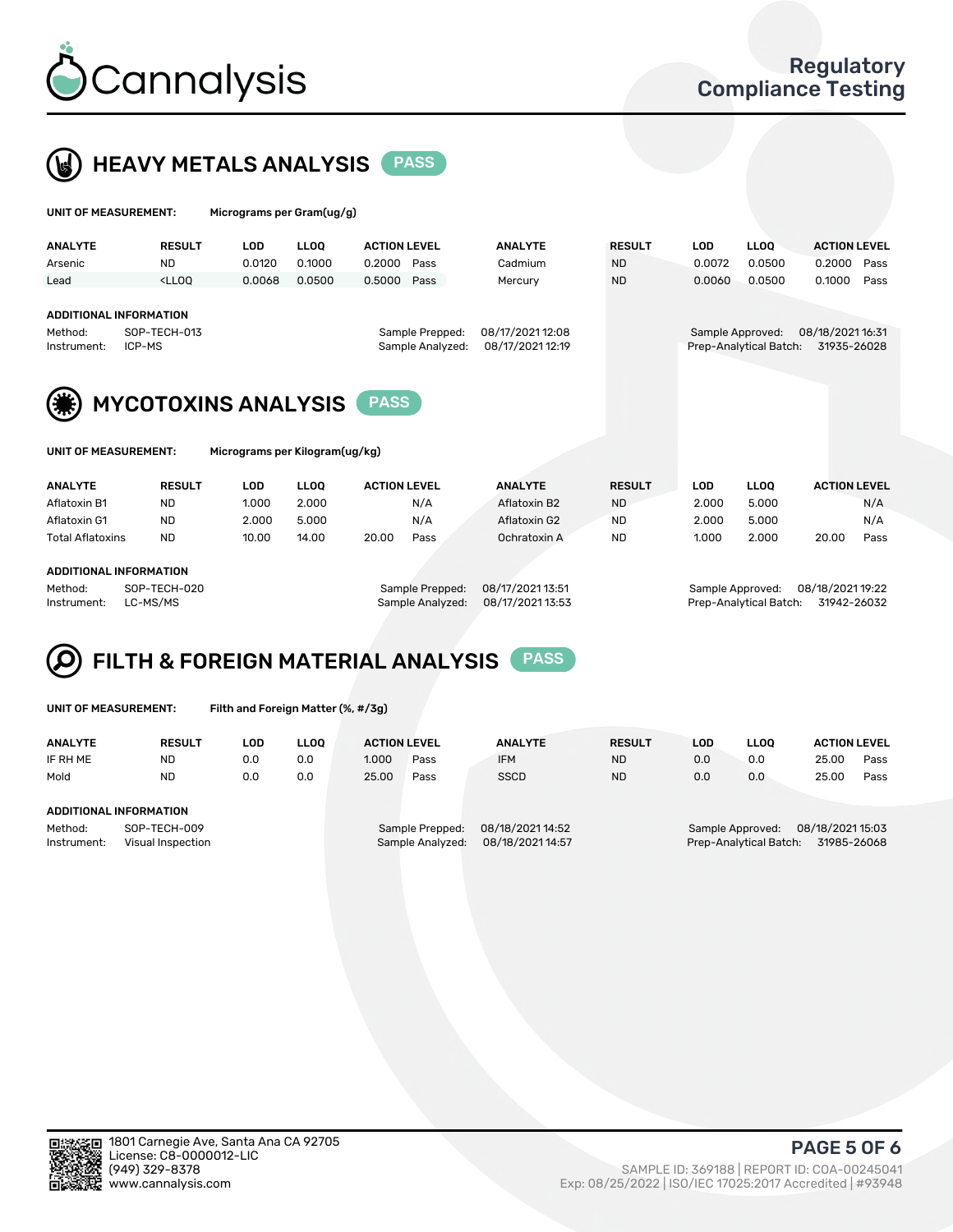



| UNIT OF MEASUREMENT:                                              |               | Micrograms per Gram(ug/g)                                    |                                     |                                      |                |                  |                        |                                 |                     |
|-------------------------------------------------------------------|---------------|--------------------------------------------------------------|-------------------------------------|--------------------------------------|----------------|------------------|------------------------|---------------------------------|---------------------|
| <b>ANALYTE</b>                                                    | <b>RESULT</b> | <b>LOD</b>                                                   | <b>LLOO</b>                         | <b>ACTION LEVEL</b>                  | <b>ANALYTE</b> | <b>RESULT</b>    | <b>LOD</b>             | <b>LLOQ</b>                     | <b>ACTION LEVEL</b> |
| Arsenic                                                           | <b>ND</b>     | 0.0120                                                       | 0.1000                              | 0.2000<br>Pass                       | Cadmium        | <b>ND</b>        | 0.0072                 | 0.0500                          | 0.2000<br>Pass      |
| Lead                                                              | $<$ LLOO      | 0.0068                                                       | 0.0500                              | 0.5000<br>Pass                       | Mercury        | <b>ND</b>        | 0.0060                 | 0.0500                          | 0.1000<br>Pass      |
| <b>ADDITIONAL INFORMATION</b><br>Method:<br>ICP-MS<br>Instrument: | SOP-TECH-013  |                                                              | Sample Prepped:<br>Sample Analyzed: | 08/17/2021 12:08<br>08/17/2021 12:19 |                | Sample Approved: | Prep-Analytical Batch: | 08/18/2021 16:31<br>31935-26028 |                     |
| UNIT OF MEASUREMENT:                                              |               | <b>MYCOTOXINS ANALYSIS</b><br>Micrograms per Kilogram(ug/kg) |                                     | <b>PASS</b>                          |                |                  |                        |                                 |                     |
| <b>ANALYTE</b>                                                    | <b>RESULT</b> | <b>LOD</b>                                                   | <b>LLOO</b>                         | <b>ACTION LEVEL</b>                  | <b>ANALYTE</b> | <b>RESULT</b>    | <b>LOD</b>             | <b>LLOQ</b>                     | <b>ACTION LEVEL</b> |
| Aflatoxin B1                                                      | <b>ND</b>     | 1.000                                                        | 2.000                               | N/A                                  | Aflatoxin B2   | <b>ND</b>        | 2.000                  | 5.000                           | N/A                 |
| Aflatoxin G1                                                      | <b>ND</b>     | 2.000                                                        | 5.000                               | N/A                                  | Aflatoxin G2   | <b>ND</b>        | 2.000                  | 5.000                           | N/A                 |
| <b>Total Aflatoxins</b>                                           | <b>ND</b>     | 10.00                                                        | 14.00                               | 20.00<br>Pass                        | Ochratoxin A   | ND.              | 1.000                  | 2.000                           | Pass<br>20.00       |
| ADDITIONAL INFORMATION                                            |               |                                                              |                                     |                                      |                |                  |                        |                                 |                     |

#### ADDITIONAL INFORMATION

Method: SOP-TECH-020 Sample Prepped: 08/17/2021 13:51 Sample Approved: 08/18/2021 19:22 Instrument: LC-MS/MS Sample Analyzed: 08/17/2021 13:53 Prep-Analytical Batch: 31942-26032

# FILTH & FOREIGN MATERIAL ANALYSIS PASS

UNIT OF MEASUREMENT: Filth and Foreign Matter (%, #/3g)

| <b>ANALYTE</b>                                              | <b>RESULT</b> | LOD | LLOO | <b>ACTION LEVEL</b>                 |                                      | <b>ANALYTE</b> | <b>RESULT</b> | LOD                                        | <b>LLOO</b>                     | <b>ACTION LEVEL</b> |      |
|-------------------------------------------------------------|---------------|-----|------|-------------------------------------|--------------------------------------|----------------|---------------|--------------------------------------------|---------------------------------|---------------------|------|
| IF RH ME                                                    | <b>ND</b>     | 0.0 | 0.0  | 1.000                               | Pass                                 | <b>IFM</b>     | <b>ND</b>     | 0.0                                        | 0.0                             | 25.00               | Pass |
| Mold                                                        | <b>ND</b>     | 0.0 | 0.0  | 25.00                               | Pass                                 | <b>SSCD</b>    | <b>ND</b>     | 0.0                                        | 0.0                             | 25.00               | Pass |
| ADDITIONAL INFORMATION                                      |               |     |      |                                     |                                      |                |               |                                            |                                 |                     |      |
| Method:<br>SOP-TECH-009<br>Instrument:<br>Visual Inspection |               |     |      | Sample Prepped:<br>Sample Analyzed: | 08/18/2021 14:52<br>08/18/2021 14:57 |                |               | Sample Approved:<br>Prep-Analytical Batch: | 08/18/2021 15:03<br>31985-26068 |                     |      |



PAGE 5 OF 6